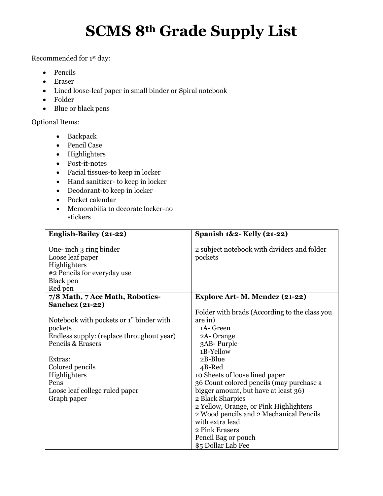## **SCMS 8th Grade Supply List**

Recommended for 1st day:

- Pencils
- Eraser
- Lined loose-leaf paper in small binder or Spiral notebook
- Folder
- Blue or black pens

## Optional Items:

- Backpack
- Pencil Case
- Highlighters
- Post-it-notes
- Facial tissues-to keep in locker
- Hand sanitizer- to keep in locker
- Deodorant-to keep in locker
- Pocket calendar
- Memorabilia to decorate locker-no stickers

| <b>English-Bailey (21-22)</b>                                                                                             | Spanish 1&2- Kelly (21-22)                             |
|---------------------------------------------------------------------------------------------------------------------------|--------------------------------------------------------|
| One- inch 3 ring binder<br>Loose leaf paper<br>Highlighters<br>#2 Pencils for everyday use<br><b>Black</b> pen<br>Red pen | 2 subject notebook with dividers and folder<br>pockets |
| 7/8 Math, 7 Acc Math, Robotics-                                                                                           | <b>Explore Art- M. Mendez (21-22)</b>                  |
| <b>Sanchez (21-22)</b>                                                                                                    |                                                        |
|                                                                                                                           | Folder with brads (According to the class you          |
| Notebook with pockets or 1" binder with                                                                                   | are in)                                                |
| pockets                                                                                                                   | 1A-Green                                               |
| Endless supply: (replace throughout year)                                                                                 | 2A-Orange                                              |
| <b>Pencils &amp; Erasers</b>                                                                                              | 3AB-Purple                                             |
|                                                                                                                           | 1B-Yellow<br>2B-Blue                                   |
| Extras:                                                                                                                   | 4B-Red                                                 |
| Colored pencils<br>Highlighters                                                                                           | 10 Sheets of loose lined paper                         |
| Pens                                                                                                                      | 36 Count colored pencils (may purchase a               |
| Loose leaf college ruled paper                                                                                            | bigger amount, but have at least 36)                   |
| Graph paper                                                                                                               | 2 Black Sharpies                                       |
|                                                                                                                           | 2 Yellow, Orange, or Pink Highlighters                 |
|                                                                                                                           | 2 Wood pencils and 2 Mechanical Pencils                |
|                                                                                                                           | with extra lead                                        |
|                                                                                                                           | 2 Pink Erasers                                         |
|                                                                                                                           | Pencil Bag or pouch                                    |
|                                                                                                                           | \$5 Dollar Lab Fee                                     |